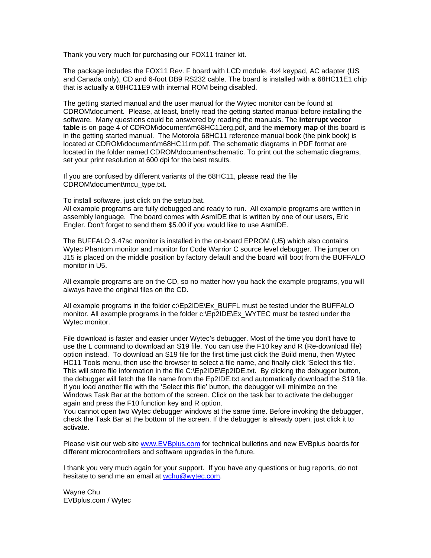Thank you very much for purchasing our FOX11 trainer kit.

The package includes the FOX11 Rev. F board with LCD module, 4x4 keypad, AC adapter (US and Canada only), CD and 6-foot DB9 RS232 cable. The board is installed with a 68HC11E1 chip that is actually a 68HC11E9 with internal ROM being disabled.

The getting started manual and the user manual for the Wytec monitor can be found at CDROM\document. Please, at least, briefly read the getting started manual before installing the software. Many questions could be answered by reading the manuals. The **interrupt vector table** is on page 4 of CDROM\document\m68HC11erg.pdf, and the **memory map** of this board is in the getting started manual. The Motorola 68HC11 reference manual book (the pink book) is located at CDROM\document\m68HC11rm.pdf. The schematic diagrams in PDF format are located in the folder named CDROM\document\schematic. To print out the schematic diagrams, set your print resolution at 600 dpi for the best results.

If you are confused by different variants of the 68HC11, please read the file CDROM\document\mcu\_type.txt.

To install software, just click on the setup.bat.

All example programs are fully debugged and ready to run. All example programs are written in assembly language. The board comes with AsmIDE that is written by one of our users, Eric Engler. Don't forget to send them \$5.00 if you would like to use AsmIDE.

The BUFFALO 3.47sc monitor is installed in the on-board EPROM (U5) which also contains Wytec Phantom monitor and monitor for Code Warrior C source level debugger. The jumper on J15 is placed on the middle position by factory default and the board will boot from the BUFFALO monitor in U5.

All example programs are on the CD, so no matter how you hack the example programs, you will always have the original files on the CD.

All example programs in the folder c:\Ep2IDE\Ex\_BUFFL must be tested under the BUFFALO monitor. All example programs in the folder c:\Ep2IDE\Ex\_WYTEC must be tested under the Wytec monitor.

File download is faster and easier under Wytec's debugger. Most of the time you don't have to use the L command to download an S19 file. You can use the F10 key and R (Re-download file) option instead. To download an S19 file for the first time just click the Build menu, then Wytec HC11 Tools menu, then use the browser to select a file name, and finally click 'Select this file'. This will store file information in the file C:\Ep2IDE\Ep2IDE.txt. By clicking the debugger button, the debugger will fetch the file name from the Ep2IDE.txt and automatically download the S19 file. If you load another file with the 'Select this file' button, the debugger will minimize on the Windows Task Bar at the bottom of the screen. Click on the task bar to activate the debugger again and press the F10 function key and R option.

You cannot open two Wytec debugger windows at the same time. Before invoking the debugger, check the Task Bar at the bottom of the screen. If the debugger is already open, just click it to activate.

Please visit our web site [www.EVBplus.com](http://www.evbplus.com/) for technical bulletins and new EVBplus boards for different microcontrollers and software upgrades in the future.

I thank you very much again for your support. If you have any questions or bug reports, do not hesitate to send me an email at [wchu@wytec.com.](mailto:wchu@wytec.com)

Wayne Chu EVBplus.com / Wytec